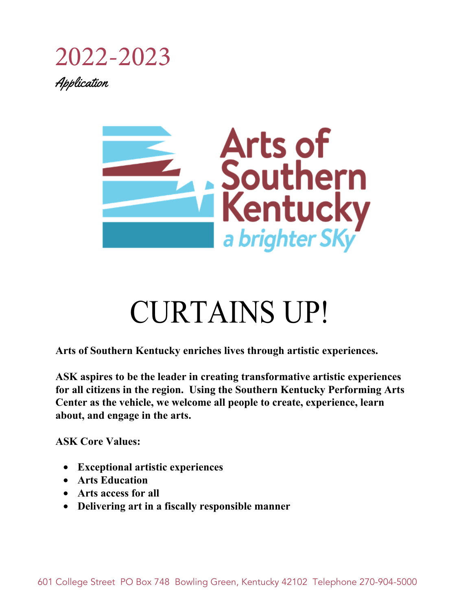## 2022-2023 Application



# CURTAINS UP!

**Arts of Southern Kentucky enriches lives through artistic experiences.** 

**ASK aspires to be the leader in creating transformative artistic experiences for all citizens in the region. Using the Southern Kentucky Performing Arts Center as the vehicle, we welcome all people to create, experience, learn about, and engage in the arts.** 

**ASK Core Values:** 

- **Exceptional artistic experiences**
- **Arts Education**
- **Arts access for all**
- **Delivering art in a fiscally responsible manner**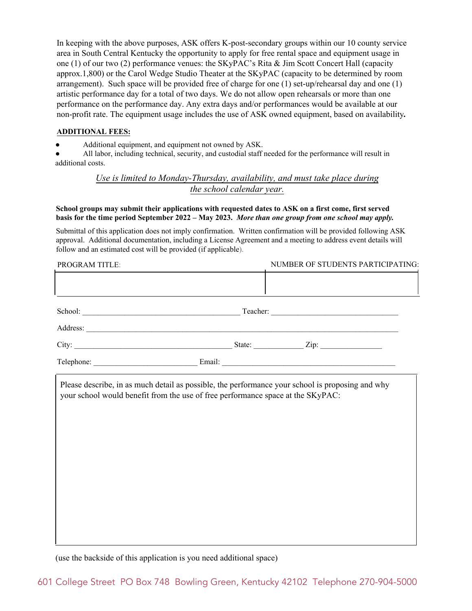In keeping with the above purposes, ASK offers K-post-secondary groups within our 10 county service area in South Central Kentucky the opportunity to apply for free rental space and equipment usage in one (1) of our two (2) performance venues: the SKyPAC's Rita & Jim Scott Concert Hall (capacity approx.1,800) or the Carol Wedge Studio Theater at the SKyPAC (capacity to be determined by room arrangement). Such space will be provided free of charge for one  $(1)$  set-up/rehearsal day and one  $(1)$ artistic performance day for a total of two days. We do not allow open rehearsals or more than one performance on the performance day. Any extra days and/or performances would be available at our non-profit rate. The equipment usage includes the use of ASK owned equipment, based on availability*.*

#### **ADDITIONAL FEES:**

Additional equipment, and equipment not owned by ASK.

All labor, including technical, security, and custodial staff needed for the performance will result in additional costs.

#### *Use is limited to Monday-Thursday, availability, and must take place during the school calendar year.*

#### **School groups may submit their applications with requested dates to ASK on a first come, first served basis for the time period September 2022 – May 2023.** *More than one group from one school may apply.*

Submittal of this application does not imply confirmation. Written confirmation will be provided following ASK approval. Additional documentation, including a License Agreement and a meeting to address event details will follow and an estimated cost will be provided (if applicable).

| PROGRAM TITLE: |  | NUMBER OF STUDENTS PARTICIPATING: |  |  |
|----------------|--|-----------------------------------|--|--|
|                |  |                                   |  |  |
|                |  |                                   |  |  |
|                |  |                                   |  |  |
|                |  |                                   |  |  |
|                |  |                                   |  |  |
|                |  |                                   |  |  |
|                |  |                                   |  |  |
|                |  |                                   |  |  |
|                |  |                                   |  |  |
|                |  |                                   |  |  |
|                |  |                                   |  |  |
|                |  |                                   |  |  |

(use the backside of this application is you need additional space)